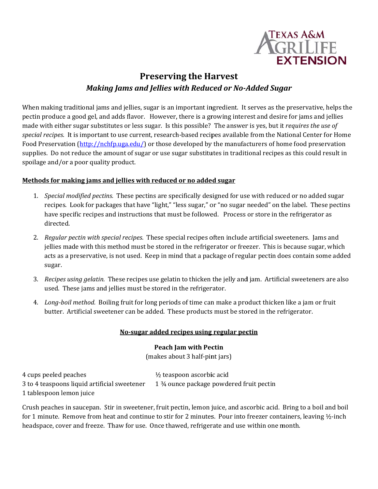

# **Preserving the Harvest Making Jams and Jellies with Reduced or No-Added Sugar**

When making traditional jams and jellies, sugar is an important ingredient. It serves as the preservative, helps the pectin produce a good gel, and adds flavor. However, there is a growing interest and desire for jams and jellies made with either sugar substitutes or less sugar. Is this possible? The answer is yes, but it requires the use of special recipes. It is important to use current, research-based recipes available from the National Center for Home Food Preservation  $(\frac{http://nchfp.uga.edu/}{http://nchfp.uga.edu/})$  or those developed by the manufacturers of home food preservation supplies. Do not reduce the amount of sugar or use sugar substitutes in traditional recipes as this could result in spoilage and/or a poor quality product.

#### Methods for making jams and jellies with reduced or no added sugar

- 1. Special modified pectins. These pectins are specifically designed for use with reduced or no added sugar recipes. Look for packages that have "light," "less sugar," or "no sugar needed" on the label. These pectins have specific recipes and instructions that must be followed. Process or store in the refrigerator as directed.
- 2. Regular pectin with special recipes. These special recipes often include artificial sweeteners. Jams and jellies made with this method must be stored in the refrigerator or freezer. This is because sugar, which acts as a preservative, is not used. Keep in mind that a package of regular pectin does contain some added sugar.
- 3. Recipes using gelatin. These recipes use gelatin to thicken the jelly and jam. Artificial sweeteners are also used. These jams and jellies must be stored in the refrigerator.
- 4. Long-boil method. Boiling fruit for long periods of time can make a product thicken like a jam or fruit butter. Artificial sweetener can be added. These products must be stored in the refrigerator.

#### No-sugar added recipes using regular pectin

# **Peach Jam with Pectin**

(makes about 3 half-pint jars)

4 cups peeled peaches 1/2 teaspoon ascorbic acid 1 3⁄4 ounce package powdered fruit pectin 3 to 4 teaspoons liquid artificial sweetener 1 tablespoon lemon juice

Crush peaches in saucepan. Stir in sweetener, fruit pectin, lemon juice, and ascorbic acid. Bring to a boil and boil for 1 minute. Remove from heat and continue to stir for 2 minutes. Pour into freezer containers, leaving 1/2-inch headspace, cover and freeze. Thaw for use. Once thawed, refrigerate and use within one month.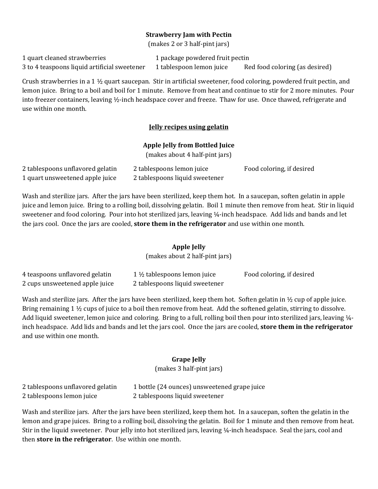# **Strawberry Jam with Pectin**

(makes 2 or 3 half-pint jars)

1 quart cleaned strawberries 1 package powdered fruit pectin 3 to 4 teaspoons liquid artificial sweetener 1 tablespoon lemon juice Red food coloring (as desired)

Crush strawberries in a 1  $\frac{1}{2}$  quart saucepan. Stir in artificial sweetener, food coloring, powdered fruit pectin, and lemon juice. Bring to a boil and boil for 1 minute. Remove from heat and continue to stir for 2 more minutes. Pour into freezer containers, leaving  $\frac{1}{2}$ -inch headspace cover and freeze. Thaw for use. Once thawed, refrigerate and use within one month.

# **Jelly recipes using gelatin**

#### **Apple Jelly from Bottled Juice**

(makes about 4 half-pint jars)

| 2 tablespoons unflavored gelatin | 2 tablespoons lemon juice      | Food coloring, if desired |
|----------------------------------|--------------------------------|---------------------------|
| 1 quart unsweetened apple juice  | 2 tablespoons liquid sweetener |                           |

Wash and sterilize jars. After the jars have been sterilized, keep them hot. In a saucepan, soften gelatin in apple juice and lemon juice. Bring to a rolling boil, dissolving gelatin. Boil 1 minute then remove from heat. Stir in liquid sweetener and food coloring. Pour into hot sterilized jars, leaving  $\frac{1}{4}$ -inch headspace. Add lids and bands and let the jars cool. Once the jars are cooled, **store them in the refrigerator** and use within one month.

# **Apple Jelly**

(makes about 2 half-pint jars)

| 4 teaspoons unflavored gelatin | $1\frac{1}{2}$ tablespoons lemon juice | Food coloring, if desired |
|--------------------------------|----------------------------------------|---------------------------|
| 2 cups unsweetened apple juice | 2 tablespoons liquid sweetener         |                           |

Wash and sterilize jars. After the jars have been sterilized, keep them hot. Soften gelatin in  $\frac{1}{2}$  cup of apple juice. Bring remaining 1  $\frac{1}{2}$  cups of juice to a boil then remove from heat. Add the softened gelatin, stirring to dissolve. Add liquid sweetener, lemon juice and coloring. Bring to a full, rolling boil then pour into sterilized jars, leaving  $\frac{1}{4}$ inch headspace. Add lids and bands and let the jars cool. Once the jars are cooled, **store them in the refrigerator** and use within one month.

# **Grape Jelly**

(makes 3 half-pint jars)

| 2 tablespoons unflavored gelatin | 1 bottle (24 ounces) unsweetened grape juice |
|----------------------------------|----------------------------------------------|
| 2 tablespoons lemon juice        | 2 tablespoons liquid sweetener               |

Wash and sterilize jars. After the jars have been sterilized, keep them hot. In a saucepan, soften the gelatin in the lemon and grape juices. Bring to a rolling boil, dissolving the gelatin. Boil for 1 minute and then remove from heat. Stir in the liquid sweetener. Pour jelly into hot sterilized jars, leaving  $\frac{1}{4}$ -inch headspace. Seal the jars, cool and **then store in the refrigerator**. Use within one month.